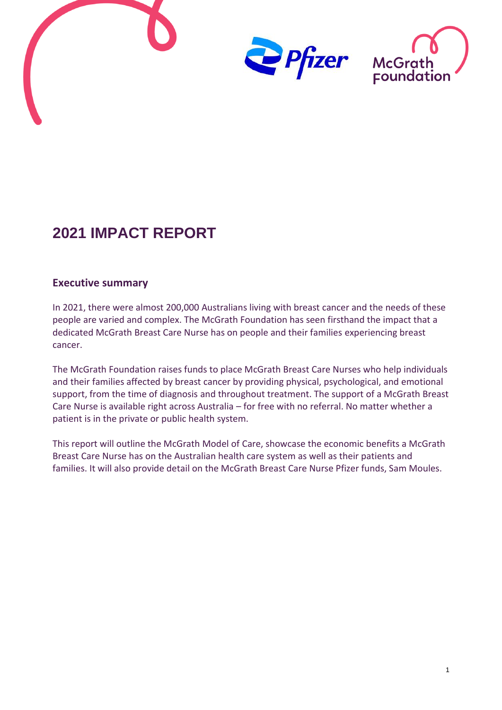

# **2021 IMPACT REPORT**

#### <span id="page-0-0"></span>**Executive summary**

In 2021, there were almost 200,000 Australians living with breast cancer and the needs of these people are varied and complex. The McGrath Foundation has seen firsthand the impact that a dedicated McGrath Breast Care Nurse has on people and their families experiencing breast cancer.

The McGrath Foundation raises funds to place McGrath Breast Care Nurses who help individuals and their families affected by breast cancer by providing physical, psychological, and emotional support, from the time of diagnosis and throughout treatment. The support of a McGrath Breast Care Nurse is available right across Australia – for free with no referral. No matter whether a patient is in the private or public health system.

This report will outline the McGrath Model of Care, showcase the economic benefits a McGrath Breast Care Nurse has on the Australian health care system as well as their patients and families. It will also provide detail on the McGrath Breast Care Nurse Pfizer funds, Sam Moules.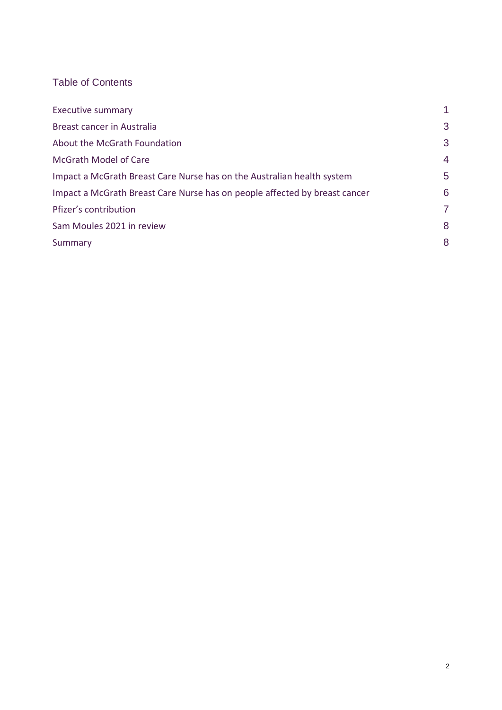## Table of Contents

| <b>Executive summary</b>                                                   | 1              |
|----------------------------------------------------------------------------|----------------|
| Breast cancer in Australia                                                 | 3              |
| About the McGrath Foundation                                               | 3              |
| <b>McGrath Model of Care</b>                                               | $\overline{4}$ |
| Impact a McGrath Breast Care Nurse has on the Australian health system     | 5              |
| Impact a McGrath Breast Care Nurse has on people affected by breast cancer | 6              |
| Pfizer's contribution                                                      | 7              |
| Sam Moules 2021 in review                                                  | 8              |
| Summary                                                                    | 8              |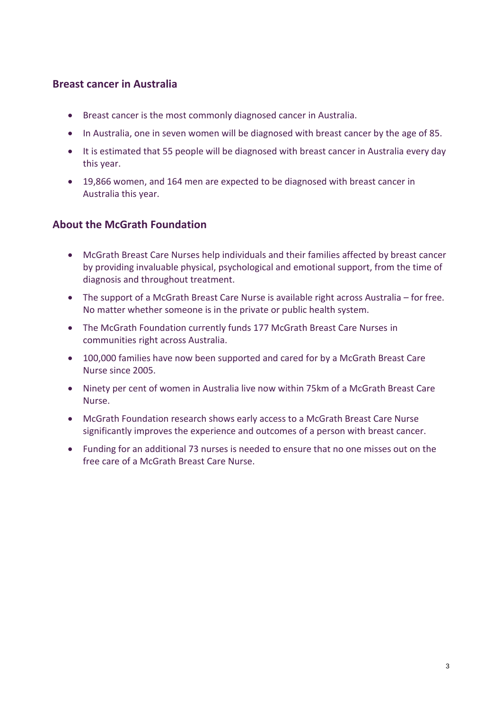#### <span id="page-2-0"></span>**Breast cancer in Australia**

- Breast cancer is the most commonly diagnosed cancer in Australia.
- In Australia, one in seven women will be diagnosed with breast cancer by the age of 85.
- It is estimated that 55 people will be diagnosed with breast cancer in Australia every day this year.
- 19,866 women, and 164 men are expected to be diagnosed with breast cancer in Australia this year.

#### <span id="page-2-1"></span>**About the McGrath Foundation**

- McGrath Breast Care Nurses help individuals and their families affected by breast cancer by providing invaluable physical, psychological and emotional support, from the time of diagnosis and throughout treatment.
- The support of a McGrath Breast Care Nurse is available right across Australia for free. No matter whether someone is in the private or public health system.
- The McGrath Foundation currently funds 177 McGrath Breast Care Nurses in communities right across Australia.
- 100,000 families have now been supported and cared for by a McGrath Breast Care Nurse since 2005.
- Ninety per cent of women in Australia live now within 75km of a McGrath Breast Care Nurse.
- McGrath Foundation research shows early access to a McGrath Breast Care Nurse significantly improves the experience and outcomes of a person with breast cancer.
- Funding for an additional 73 nurses is needed to ensure that no one misses out on the free care of a McGrath Breast Care Nurse.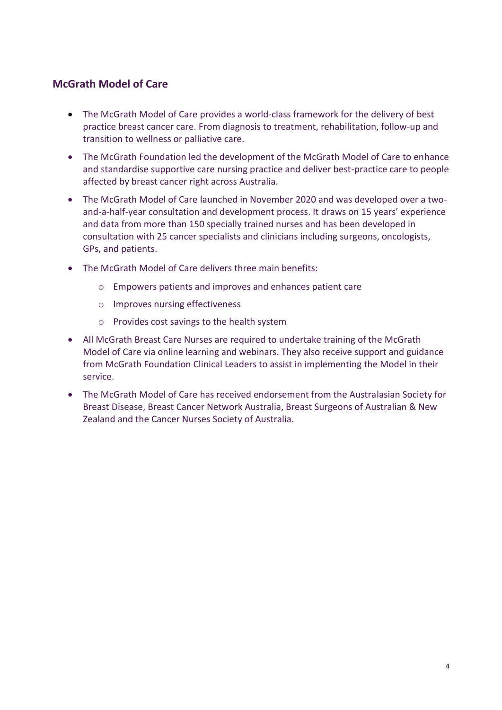### <span id="page-3-0"></span>**McGrath Model of Care**

- The McGrath Model of Care provides a world-class framework for the delivery of best practice breast cancer care. From diagnosis to treatment, rehabilitation, follow-up and transition to wellness or palliative care.
- The McGrath Foundation led the development of the McGrath Model of Care to enhance and standardise supportive care nursing practice and deliver best-practice care to people affected by breast cancer right across Australia.
- The McGrath Model of Care launched in November 2020 and was developed over a twoand-a-half-year consultation and development process. It draws on 15 years' experience and data from more than 150 specially trained nurses and has been developed in consultation with 25 cancer specialists and clinicians including surgeons, oncologists, GPs, and patients.
- The McGrath Model of Care delivers three main benefits:
	- o Empowers patients and improves and enhances patient care
	- o Improves nursing effectiveness
	- o Provides cost savings to the health system
- All McGrath Breast Care Nurses are required to undertake training of the McGrath Model of Care via online learning and webinars. They also receive support and guidance from McGrath Foundation Clinical Leaders to assist in implementing the Model in their service.
- The McGrath Model of Care has received endorsement from the Australasian Society for Breast Disease, Breast Cancer Network Australia, Breast Surgeons of Australian & New Zealand and the Cancer Nurses Society of Australia.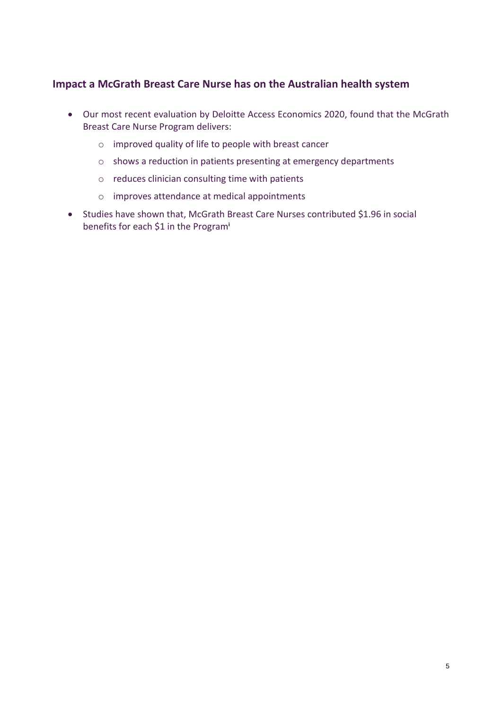#### <span id="page-4-0"></span>**Impact a McGrath Breast Care Nurse has on the Australian health system**

- Our most recent evaluation by Deloitte Access Economics 2020, found that the McGrath Breast Care Nurse Program delivers:
	- o improved quality of life to people with breast cancer
	- o shows a reduction in patients presenting at emergency departments
	- o reduces clinician consulting time with patients
	- o improves attendance at medical appointments
- Studies have shown that, McGrath Breast Care Nurses contributed \$1.96 in social benefits for each \$1 in the Program**i**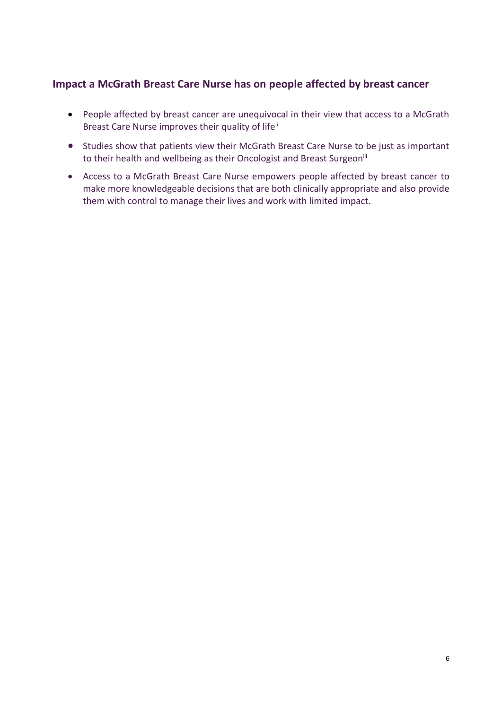#### <span id="page-5-0"></span>**Impact a McGrath Breast Care Nurse has on people affected by breast cancer**

- People affected by breast cancer are unequivocal in their view that access to a McGrath Breast Care Nurse improves their quality of life<sup>ii</sup>
- Studies show that patients view their McGrath Breast Care Nurse to be just as important to their health and wellbeing as their Oncologist and Breast Surgeon<sup>iii</sup>
- Access to a McGrath Breast Care Nurse empowers people affected by breast cancer to make more knowledgeable decisions that are both clinically appropriate and also provide them with control to manage their lives and work with limited impact.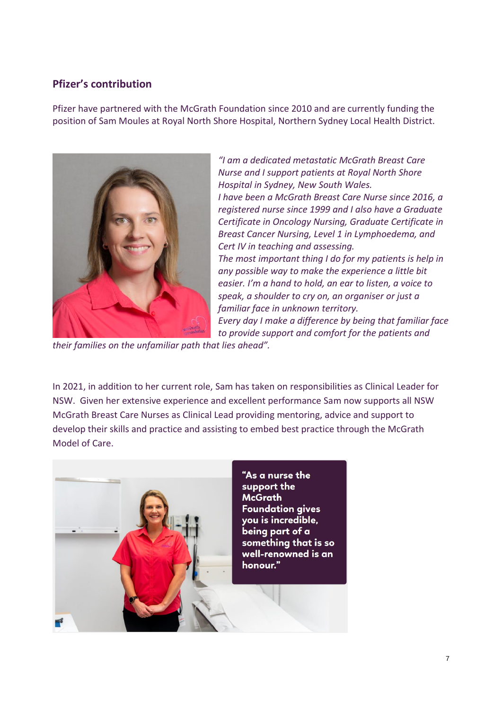#### <span id="page-6-0"></span>**Pfizer's contribution**

Pfizer have partnered with the McGrath Foundation since 2010 and are currently funding the position of Sam Moules at Royal North Shore Hospital, Northern Sydney Local Health District.



*"I am a dedicated metastatic McGrath Breast Care Nurse and I support patients at Royal North Shore Hospital in Sydney, New South Wales. I have been a McGrath Breast Care Nurse since 2016, a registered nurse since 1999 and I also have a Graduate Certificate in Oncology Nursing, Graduate Certificate in Breast Cancer Nursing, Level 1 in Lymphoedema, and Cert IV in teaching and assessing. The most important thing I do for my patients is help in any possible way to make the experience a little bit easier. I'm a hand to hold, an ear to listen, a voice to speak, a shoulder to cry on, an organiser or just a familiar face in unknown territory. Every day I make a difference by being that familiar face* 

*to provide support and comfort for the patients and* 

*their families on the unfamiliar path that lies ahead".*

In 2021, in addition to her current role, Sam has taken on responsibilities as Clinical Leader for NSW. Given her extensive experience and excellent performance Sam now supports all NSW McGrath Breast Care Nurses as Clinical Lead providing mentoring, advice and support to develop their skills and practice and assisting to embed best practice through the McGrath Model of Care.

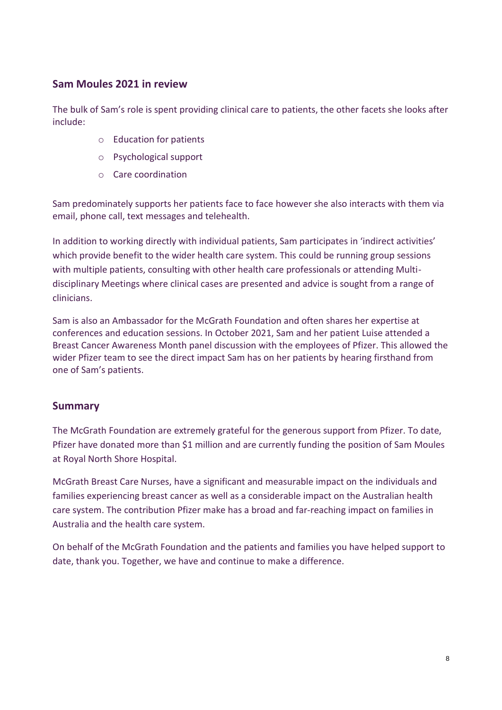#### <span id="page-7-0"></span>**Sam Moules 2021 in review**

The bulk of Sam's role is spent providing clinical care to patients, the other facets she looks after include:

- o Education for patients
- o Psychological support
- o Care coordination

Sam predominately supports her patients face to face however she also interacts with them via email, phone call, text messages and telehealth.

In addition to working directly with individual patients, Sam participates in 'indirect activities' which provide benefit to the wider health care system. This could be running group sessions with multiple patients, consulting with other health care professionals or attending Multidisciplinary Meetings where clinical cases are presented and advice is sought from a range of clinicians.

Sam is also an Ambassador for the McGrath Foundation and often shares her expertise at conferences and education sessions. In October 2021, Sam and her patient Luise attended a Breast Cancer Awareness Month panel discussion with the employees of Pfizer. This allowed the wider Pfizer team to see the direct impact Sam has on her patients by hearing firsthand from one of Sam's patients.

#### <span id="page-7-1"></span>**Summary**

The McGrath Foundation are extremely grateful for the generous support from Pfizer. To date, Pfizer have donated more than \$1 million and are currently funding the position of Sam Moules at Royal North Shore Hospital.

McGrath Breast Care Nurses, have a significant and measurable impact on the individuals and families experiencing breast cancer as well as a considerable impact on the Australian health care system. The contribution Pfizer make has a broad and far-reaching impact on families in Australia and the health care system.

On behalf of the McGrath Foundation and the patients and families you have helped support to date, thank you. Together, we have and continue to make a difference.